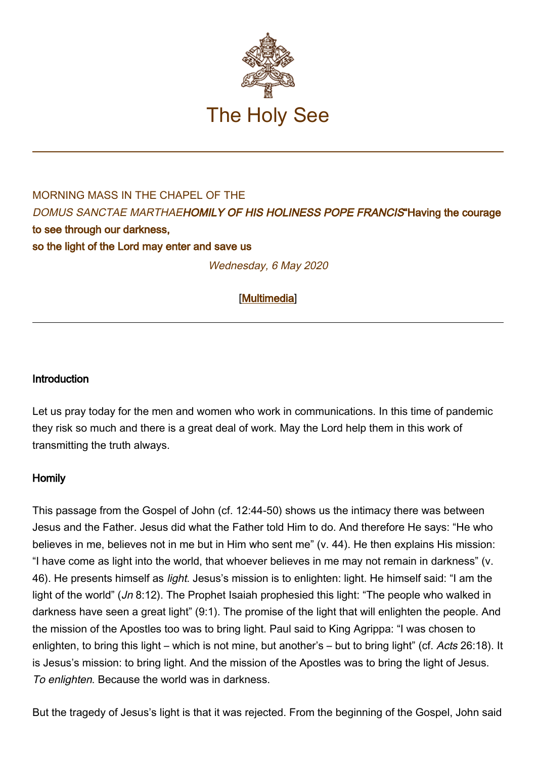

## MORNING MASS IN THE CHAPFL OF THE DOMUS SANCTAE MARTHAEHOMILY OF HIS HOLINESS POPE FRANCIS"Having the courage to see through our darkness, so the light of the Lord may enter and save us

Wednesday, 6 May 2020

[\[Multimedia](http://w2.vatican.va/content/francesco/en/events/event.dir.html/content/vaticanevents/en/2020/5/6/santamarta.html)]

## Introduction

Let us pray today for the men and women who work in communications. In this time of pandemic they risk so much and there is a great deal of work. May the Lord help them in this work of transmitting the truth always.

## Homily

This passage from the Gospel of John (cf. 12:44-50) shows us the intimacy there was between Jesus and the Father. Jesus did what the Father told Him to do. And therefore He says: "He who believes in me, believes not in me but in Him who sent me" (v. 44). He then explains His mission: "I have come as light into the world, that whoever believes in me may not remain in darkness" (v. 46). He presents himself as light. Jesus's mission is to enlighten: light. He himself said: "I am the light of the world" (Jn 8:12). The Prophet Isaiah prophesied this light: "The people who walked in darkness have seen a great light" (9:1). The promise of the light that will enlighten the people. And the mission of the Apostles too was to bring light. Paul said to King Agrippa: "I was chosen to enlighten, to bring this light – which is not mine, but another's – but to bring light" (cf. Acts 26:18). It is Jesus's mission: to bring light. And the mission of the Apostles was to bring the light of Jesus. To enlighten. Because the world was in darkness.

But the tragedy of Jesus's light is that it was rejected. From the beginning of the Gospel, John said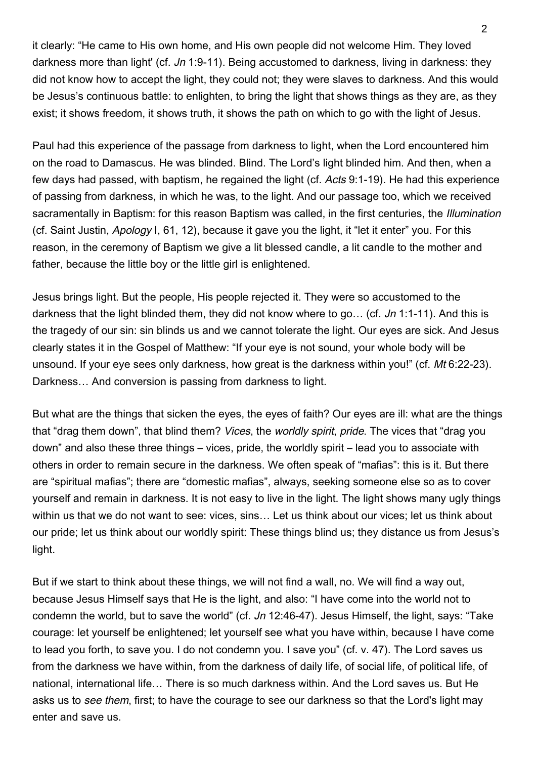it clearly: "He came to His own home, and His own people did not welcome Him. They loved darkness more than light' (cf. Jn 1:9-11). Being accustomed to darkness, living in darkness: they did not know how to accept the light, they could not; they were slaves to darkness. And this would be Jesus's continuous battle: to enlighten, to bring the light that shows things as they are, as they exist; it shows freedom, it shows truth, it shows the path on which to go with the light of Jesus.

Paul had this experience of the passage from darkness to light, when the Lord encountered him on the road to Damascus. He was blinded. Blind. The Lord's light blinded him. And then, when a few days had passed, with baptism, he regained the light (cf. Acts 9:1-19). He had this experience of passing from darkness, in which he was, to the light. And our passage too, which we received sacramentally in Baptism: for this reason Baptism was called, in the first centuries, the Illumination (cf. Saint Justin, Apology I, 61, 12), because it gave you the light, it "let it enter" you. For this reason, in the ceremony of Baptism we give a lit blessed candle, a lit candle to the mother and father, because the little boy or the little girl is enlightened.

Jesus brings light. But the people, His people rejected it. They were so accustomed to the darkness that the light blinded them, they did not know where to go... (cf. Jn 1:1-11). And this is the tragedy of our sin: sin blinds us and we cannot tolerate the light. Our eyes are sick. And Jesus clearly states it in the Gospel of Matthew: "If your eye is not sound, your whole body will be unsound. If your eye sees only darkness, how great is the darkness within you!" (cf. Mt 6:22-23). Darkness… And conversion is passing from darkness to light.

But what are the things that sicken the eyes, the eyes of faith? Our eyes are ill: what are the things that "drag them down", that blind them? Vices, the worldly spirit, pride. The vices that "drag you down" and also these three things – vices, pride, the worldly spirit – lead you to associate with others in order to remain secure in the darkness. We often speak of "mafias": this is it. But there are "spiritual mafias"; there are "domestic mafias", always, seeking someone else so as to cover yourself and remain in darkness. It is not easy to live in the light. The light shows many ugly things within us that we do not want to see: vices, sins… Let us think about our vices; let us think about our pride; let us think about our worldly spirit: These things blind us; they distance us from Jesus's light.

But if we start to think about these things, we will not find a wall, no. We will find a way out, because Jesus Himself says that He is the light, and also: "I have come into the world not to condemn the world, but to save the world" (cf. Jn 12:46-47). Jesus Himself, the light, says: "Take courage: let yourself be enlightened; let yourself see what you have within, because I have come to lead you forth, to save you. I do not condemn you. I save you" (cf. v. 47). The Lord saves us from the darkness we have within, from the darkness of daily life, of social life, of political life, of national, international life… There is so much darkness within. And the Lord saves us. But He asks us to see them, first; to have the courage to see our darkness so that the Lord's light may enter and save us.